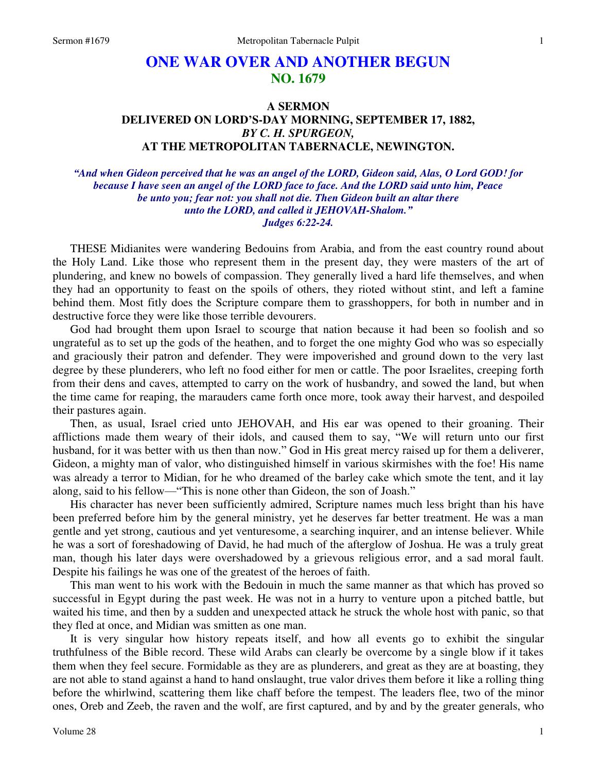# **ONE WAR OVER AND ANOTHER BEGUN NO. 1679**

## **A SERMON DELIVERED ON LORD'S-DAY MORNING, SEPTEMBER 17, 1882,**  *BY C. H. SPURGEON,*  **AT THE METROPOLITAN TABERNACLE, NEWINGTON.**

#### *"And when Gideon perceived that he was an angel of the LORD, Gideon said, Alas, O Lord GOD! for because I have seen an angel of the LORD face to face. And the LORD said unto him, Peace be unto you; fear not: you shall not die. Then Gideon built an altar there unto the LORD, and called it JEHOVAH-Shalom." Judges 6:22-24.*

THESE Midianites were wandering Bedouins from Arabia, and from the east country round about the Holy Land. Like those who represent them in the present day, they were masters of the art of plundering, and knew no bowels of compassion. They generally lived a hard life themselves, and when they had an opportunity to feast on the spoils of others, they rioted without stint, and left a famine behind them. Most fitly does the Scripture compare them to grasshoppers, for both in number and in destructive force they were like those terrible devourers.

 God had brought them upon Israel to scourge that nation because it had been so foolish and so ungrateful as to set up the gods of the heathen, and to forget the one mighty God who was so especially and graciously their patron and defender. They were impoverished and ground down to the very last degree by these plunderers, who left no food either for men or cattle. The poor Israelites, creeping forth from their dens and caves, attempted to carry on the work of husbandry, and sowed the land, but when the time came for reaping, the marauders came forth once more, took away their harvest, and despoiled their pastures again.

 Then, as usual, Israel cried unto JEHOVAH, and His ear was opened to their groaning. Their afflictions made them weary of their idols, and caused them to say, "We will return unto our first husband, for it was better with us then than now." God in His great mercy raised up for them a deliverer, Gideon, a mighty man of valor, who distinguished himself in various skirmishes with the foe! His name was already a terror to Midian, for he who dreamed of the barley cake which smote the tent, and it lay along, said to his fellow—"This is none other than Gideon, the son of Joash."

 His character has never been sufficiently admired, Scripture names much less bright than his have been preferred before him by the general ministry, yet he deserves far better treatment. He was a man gentle and yet strong, cautious and yet venturesome, a searching inquirer, and an intense believer. While he was a sort of foreshadowing of David, he had much of the afterglow of Joshua. He was a truly great man, though his later days were overshadowed by a grievous religious error, and a sad moral fault. Despite his failings he was one of the greatest of the heroes of faith.

 This man went to his work with the Bedouin in much the same manner as that which has proved so successful in Egypt during the past week. He was not in a hurry to venture upon a pitched battle, but waited his time, and then by a sudden and unexpected attack he struck the whole host with panic, so that they fled at once, and Midian was smitten as one man.

 It is very singular how history repeats itself, and how all events go to exhibit the singular truthfulness of the Bible record. These wild Arabs can clearly be overcome by a single blow if it takes them when they feel secure. Formidable as they are as plunderers, and great as they are at boasting, they are not able to stand against a hand to hand onslaught, true valor drives them before it like a rolling thing before the whirlwind, scattering them like chaff before the tempest. The leaders flee, two of the minor ones, Oreb and Zeeb, the raven and the wolf, are first captured, and by and by the greater generals, who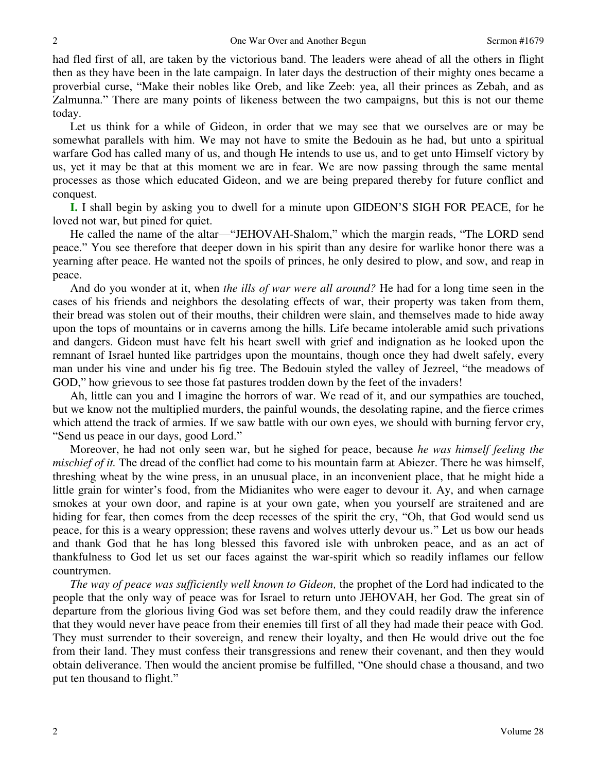had fled first of all, are taken by the victorious band. The leaders were ahead of all the others in flight then as they have been in the late campaign. In later days the destruction of their mighty ones became a proverbial curse, "Make their nobles like Oreb, and like Zeeb: yea, all their princes as Zebah, and as Zalmunna." There are many points of likeness between the two campaigns, but this is not our theme today.

 Let us think for a while of Gideon, in order that we may see that we ourselves are or may be somewhat parallels with him. We may not have to smite the Bedouin as he had, but unto a spiritual warfare God has called many of us, and though He intends to use us, and to get unto Himself victory by us, yet it may be that at this moment we are in fear. We are now passing through the same mental processes as those which educated Gideon, and we are being prepared thereby for future conflict and conquest.

**I.** I shall begin by asking you to dwell for a minute upon GIDEON'S SIGH FOR PEACE, for he loved not war, but pined for quiet.

 He called the name of the altar—"JEHOVAH-Shalom," which the margin reads, "The LORD send peace." You see therefore that deeper down in his spirit than any desire for warlike honor there was a yearning after peace. He wanted not the spoils of princes, he only desired to plow, and sow, and reap in peace.

 And do you wonder at it, when *the ills of war were all around?* He had for a long time seen in the cases of his friends and neighbors the desolating effects of war, their property was taken from them, their bread was stolen out of their mouths, their children were slain, and themselves made to hide away upon the tops of mountains or in caverns among the hills. Life became intolerable amid such privations and dangers. Gideon must have felt his heart swell with grief and indignation as he looked upon the remnant of Israel hunted like partridges upon the mountains, though once they had dwelt safely, every man under his vine and under his fig tree. The Bedouin styled the valley of Jezreel, "the meadows of GOD," how grievous to see those fat pastures trodden down by the feet of the invaders!

 Ah, little can you and I imagine the horrors of war. We read of it, and our sympathies are touched, but we know not the multiplied murders, the painful wounds, the desolating rapine, and the fierce crimes which attend the track of armies. If we saw battle with our own eyes, we should with burning fervor cry, "Send us peace in our days, good Lord."

 Moreover, he had not only seen war, but he sighed for peace, because *he was himself feeling the mischief of it.* The dread of the conflict had come to his mountain farm at Abiezer. There he was himself, threshing wheat by the wine press, in an unusual place, in an inconvenient place, that he might hide a little grain for winter's food, from the Midianites who were eager to devour it. Ay, and when carnage smokes at your own door, and rapine is at your own gate, when you yourself are straitened and are hiding for fear, then comes from the deep recesses of the spirit the cry, "Oh, that God would send us peace, for this is a weary oppression; these ravens and wolves utterly devour us." Let us bow our heads and thank God that he has long blessed this favored isle with unbroken peace, and as an act of thankfulness to God let us set our faces against the war-spirit which so readily inflames our fellow countrymen.

*The way of peace was sufficiently well known to Gideon,* the prophet of the Lord had indicated to the people that the only way of peace was for Israel to return unto JEHOVAH, her God. The great sin of departure from the glorious living God was set before them, and they could readily draw the inference that they would never have peace from their enemies till first of all they had made their peace with God. They must surrender to their sovereign, and renew their loyalty, and then He would drive out the foe from their land. They must confess their transgressions and renew their covenant, and then they would obtain deliverance. Then would the ancient promise be fulfilled, "One should chase a thousand, and two put ten thousand to flight."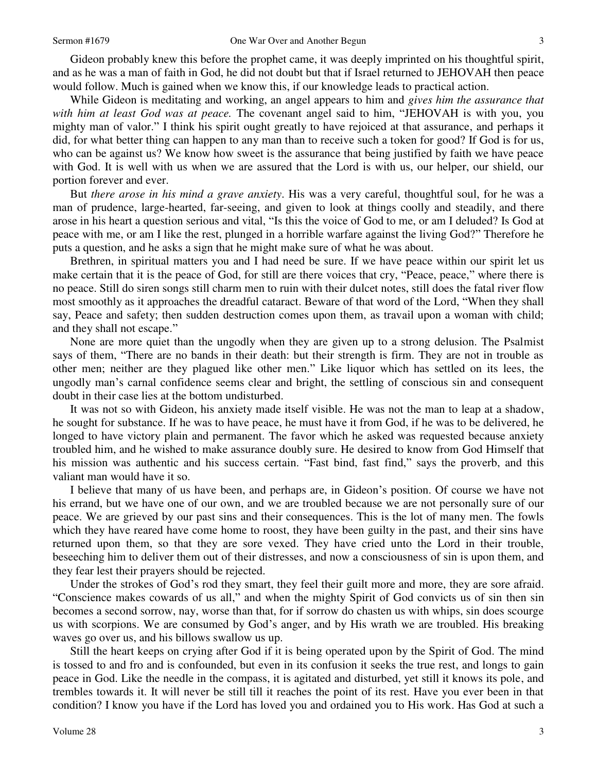Gideon probably knew this before the prophet came, it was deeply imprinted on his thoughtful spirit, and as he was a man of faith in God, he did not doubt but that if Israel returned to JEHOVAH then peace would follow. Much is gained when we know this, if our knowledge leads to practical action.

 While Gideon is meditating and working, an angel appears to him and *gives him the assurance that with him at least God was at peace.* The covenant angel said to him, "JEHOVAH is with you, you mighty man of valor." I think his spirit ought greatly to have rejoiced at that assurance, and perhaps it did, for what better thing can happen to any man than to receive such a token for good? If God is for us, who can be against us? We know how sweet is the assurance that being justified by faith we have peace with God. It is well with us when we are assured that the Lord is with us, our helper, our shield, our portion forever and ever.

 But *there arose in his mind a grave anxiety*. His was a very careful, thoughtful soul, for he was a man of prudence, large-hearted, far-seeing, and given to look at things coolly and steadily, and there arose in his heart a question serious and vital, "Is this the voice of God to me, or am I deluded? Is God at peace with me, or am I like the rest, plunged in a horrible warfare against the living God?" Therefore he puts a question, and he asks a sign that he might make sure of what he was about.

 Brethren, in spiritual matters you and I had need be sure. If we have peace within our spirit let us make certain that it is the peace of God, for still are there voices that cry, "Peace, peace," where there is no peace. Still do siren songs still charm men to ruin with their dulcet notes, still does the fatal river flow most smoothly as it approaches the dreadful cataract. Beware of that word of the Lord, "When they shall say, Peace and safety; then sudden destruction comes upon them, as travail upon a woman with child; and they shall not escape."

 None are more quiet than the ungodly when they are given up to a strong delusion. The Psalmist says of them, "There are no bands in their death: but their strength is firm. They are not in trouble as other men; neither are they plagued like other men." Like liquor which has settled on its lees, the ungodly man's carnal confidence seems clear and bright, the settling of conscious sin and consequent doubt in their case lies at the bottom undisturbed.

 It was not so with Gideon, his anxiety made itself visible. He was not the man to leap at a shadow, he sought for substance. If he was to have peace, he must have it from God, if he was to be delivered, he longed to have victory plain and permanent. The favor which he asked was requested because anxiety troubled him, and he wished to make assurance doubly sure. He desired to know from God Himself that his mission was authentic and his success certain. "Fast bind, fast find," says the proverb, and this valiant man would have it so.

 I believe that many of us have been, and perhaps are, in Gideon's position. Of course we have not his errand, but we have one of our own, and we are troubled because we are not personally sure of our peace. We are grieved by our past sins and their consequences. This is the lot of many men. The fowls which they have reared have come home to roost, they have been guilty in the past, and their sins have returned upon them, so that they are sore vexed. They have cried unto the Lord in their trouble, beseeching him to deliver them out of their distresses, and now a consciousness of sin is upon them, and they fear lest their prayers should be rejected.

 Under the strokes of God's rod they smart, they feel their guilt more and more, they are sore afraid. "Conscience makes cowards of us all," and when the mighty Spirit of God convicts us of sin then sin becomes a second sorrow, nay, worse than that, for if sorrow do chasten us with whips, sin does scourge us with scorpions. We are consumed by God's anger, and by His wrath we are troubled. His breaking waves go over us, and his billows swallow us up.

 Still the heart keeps on crying after God if it is being operated upon by the Spirit of God. The mind is tossed to and fro and is confounded, but even in its confusion it seeks the true rest, and longs to gain peace in God. Like the needle in the compass, it is agitated and disturbed, yet still it knows its pole, and trembles towards it. It will never be still till it reaches the point of its rest. Have you ever been in that condition? I know you have if the Lord has loved you and ordained you to His work. Has God at such a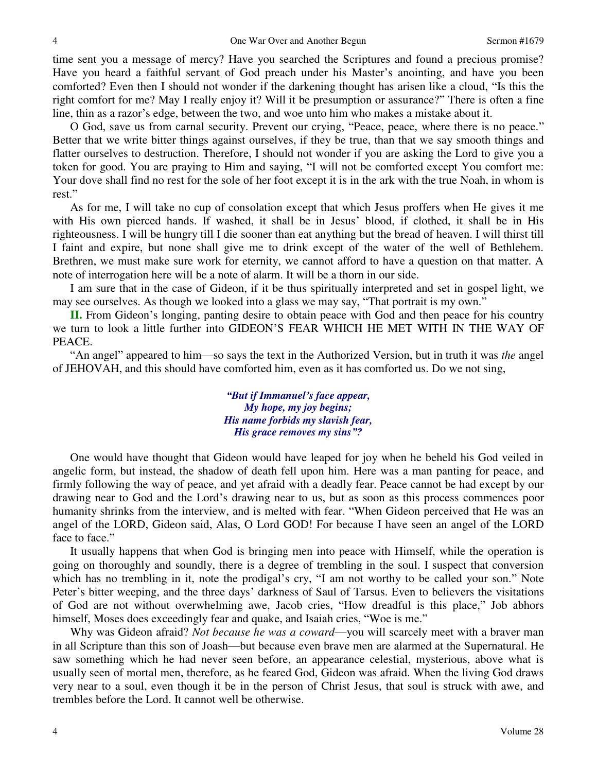time sent you a message of mercy? Have you searched the Scriptures and found a precious promise? Have you heard a faithful servant of God preach under his Master's anointing, and have you been comforted? Even then I should not wonder if the darkening thought has arisen like a cloud, "Is this the right comfort for me? May I really enjoy it? Will it be presumption or assurance?" There is often a fine line, thin as a razor's edge, between the two, and woe unto him who makes a mistake about it.

 O God, save us from carnal security. Prevent our crying, "Peace, peace, where there is no peace." Better that we write bitter things against ourselves, if they be true, than that we say smooth things and flatter ourselves to destruction. Therefore, I should not wonder if you are asking the Lord to give you a token for good. You are praying to Him and saying, "I will not be comforted except You comfort me: Your dove shall find no rest for the sole of her foot except it is in the ark with the true Noah, in whom is rest."

 As for me, I will take no cup of consolation except that which Jesus proffers when He gives it me with His own pierced hands. If washed, it shall be in Jesus' blood, if clothed, it shall be in His righteousness. I will be hungry till I die sooner than eat anything but the bread of heaven. I will thirst till I faint and expire, but none shall give me to drink except of the water of the well of Bethlehem. Brethren, we must make sure work for eternity, we cannot afford to have a question on that matter. A note of interrogation here will be a note of alarm. It will be a thorn in our side.

 I am sure that in the case of Gideon, if it be thus spiritually interpreted and set in gospel light, we may see ourselves. As though we looked into a glass we may say, "That portrait is my own."

**II.** From Gideon's longing, panting desire to obtain peace with God and then peace for his country we turn to look a little further into GIDEON'S FEAR WHICH HE MET WITH IN THE WAY OF PEACE.

"An angel" appeared to him—so says the text in the Authorized Version, but in truth it was *the* angel of JEHOVAH, and this should have comforted him, even as it has comforted us. Do we not sing,

> *"But if Immanuel's face appear, My hope, my joy begins; His name forbids my slavish fear, His grace removes my sins"?*

 One would have thought that Gideon would have leaped for joy when he beheld his God veiled in angelic form, but instead, the shadow of death fell upon him. Here was a man panting for peace, and firmly following the way of peace, and yet afraid with a deadly fear. Peace cannot be had except by our drawing near to God and the Lord's drawing near to us, but as soon as this process commences poor humanity shrinks from the interview, and is melted with fear. "When Gideon perceived that He was an angel of the LORD, Gideon said, Alas, O Lord GOD! For because I have seen an angel of the LORD face to face."

 It usually happens that when God is bringing men into peace with Himself, while the operation is going on thoroughly and soundly, there is a degree of trembling in the soul. I suspect that conversion which has no trembling in it, note the prodigal's cry, "I am not worthy to be called your son." Note Peter's bitter weeping, and the three days' darkness of Saul of Tarsus. Even to believers the visitations of God are not without overwhelming awe, Jacob cries, "How dreadful is this place," Job abhors himself, Moses does exceedingly fear and quake, and Isaiah cries, "Woe is me."

 Why was Gideon afraid? *Not because he was a coward*—you will scarcely meet with a braver man in all Scripture than this son of Joash—but because even brave men are alarmed at the Supernatural. He saw something which he had never seen before, an appearance celestial, mysterious, above what is usually seen of mortal men, therefore, as he feared God, Gideon was afraid. When the living God draws very near to a soul, even though it be in the person of Christ Jesus, that soul is struck with awe, and trembles before the Lord. It cannot well be otherwise.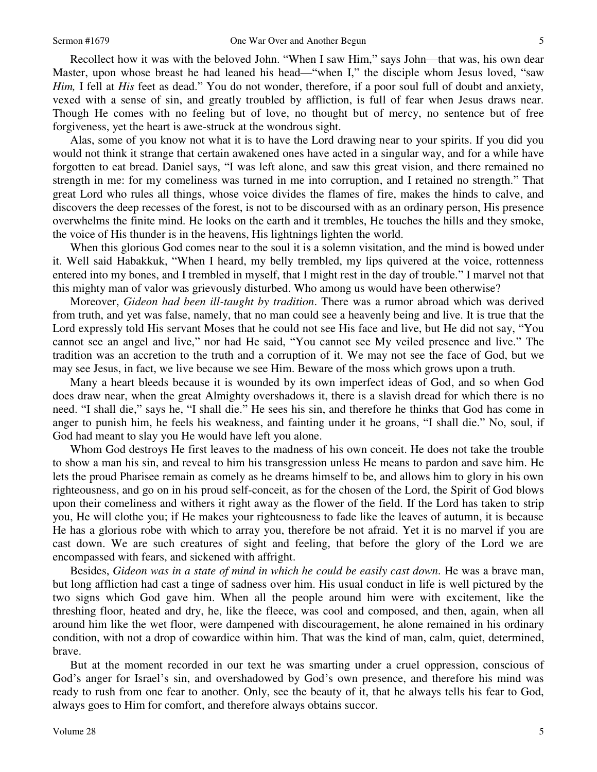Recollect how it was with the beloved John. "When I saw Him," says John—that was, his own dear Master, upon whose breast he had leaned his head—"when I," the disciple whom Jesus loved, "saw *Him,* I fell at *His* feet as dead." You do not wonder, therefore, if a poor soul full of doubt and anxiety, vexed with a sense of sin, and greatly troubled by affliction, is full of fear when Jesus draws near. Though He comes with no feeling but of love, no thought but of mercy, no sentence but of free forgiveness, yet the heart is awe-struck at the wondrous sight.

 Alas, some of you know not what it is to have the Lord drawing near to your spirits. If you did you would not think it strange that certain awakened ones have acted in a singular way, and for a while have forgotten to eat bread. Daniel says, "I was left alone, and saw this great vision, and there remained no strength in me: for my comeliness was turned in me into corruption, and I retained no strength." That great Lord who rules all things, whose voice divides the flames of fire, makes the hinds to calve, and discovers the deep recesses of the forest, is not to be discoursed with as an ordinary person, His presence overwhelms the finite mind. He looks on the earth and it trembles, He touches the hills and they smoke, the voice of His thunder is in the heavens, His lightnings lighten the world.

 When this glorious God comes near to the soul it is a solemn visitation, and the mind is bowed under it. Well said Habakkuk, "When I heard, my belly trembled, my lips quivered at the voice, rottenness entered into my bones, and I trembled in myself, that I might rest in the day of trouble." I marvel not that this mighty man of valor was grievously disturbed. Who among us would have been otherwise?

 Moreover, *Gideon had been ill-taught by tradition*. There was a rumor abroad which was derived from truth, and yet was false, namely, that no man could see a heavenly being and live. It is true that the Lord expressly told His servant Moses that he could not see His face and live, but He did not say, "You cannot see an angel and live," nor had He said, "You cannot see My veiled presence and live." The tradition was an accretion to the truth and a corruption of it. We may not see the face of God, but we may see Jesus, in fact, we live because we see Him. Beware of the moss which grows upon a truth.

 Many a heart bleeds because it is wounded by its own imperfect ideas of God, and so when God does draw near, when the great Almighty overshadows it, there is a slavish dread for which there is no need. "I shall die," says he, "I shall die." He sees his sin, and therefore he thinks that God has come in anger to punish him, he feels his weakness, and fainting under it he groans, "I shall die." No, soul, if God had meant to slay you He would have left you alone.

 Whom God destroys He first leaves to the madness of his own conceit. He does not take the trouble to show a man his sin, and reveal to him his transgression unless He means to pardon and save him. He lets the proud Pharisee remain as comely as he dreams himself to be, and allows him to glory in his own righteousness, and go on in his proud self-conceit, as for the chosen of the Lord, the Spirit of God blows upon their comeliness and withers it right away as the flower of the field. If the Lord has taken to strip you, He will clothe you; if He makes your righteousness to fade like the leaves of autumn, it is because He has a glorious robe with which to array you, therefore be not afraid. Yet it is no marvel if you are cast down. We are such creatures of sight and feeling, that before the glory of the Lord we are encompassed with fears, and sickened with affright.

 Besides, *Gideon was in a state of mind in which he could be easily cast down.* He was a brave man, but long affliction had cast a tinge of sadness over him. His usual conduct in life is well pictured by the two signs which God gave him. When all the people around him were with excitement, like the threshing floor, heated and dry, he, like the fleece, was cool and composed, and then, again, when all around him like the wet floor, were dampened with discouragement, he alone remained in his ordinary condition, with not a drop of cowardice within him. That was the kind of man, calm, quiet, determined, brave.

 But at the moment recorded in our text he was smarting under a cruel oppression, conscious of God's anger for Israel's sin, and overshadowed by God's own presence, and therefore his mind was ready to rush from one fear to another. Only, see the beauty of it, that he always tells his fear to God, always goes to Him for comfort, and therefore always obtains succor.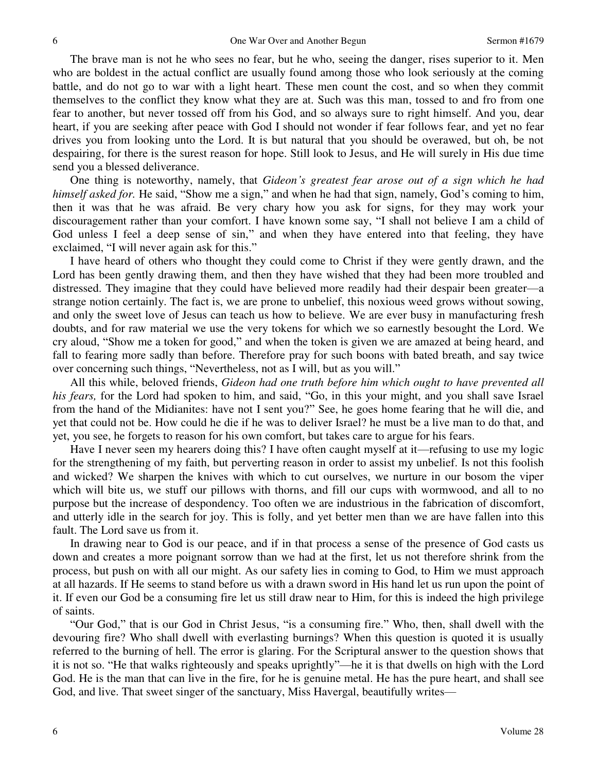The brave man is not he who sees no fear, but he who, seeing the danger, rises superior to it. Men who are boldest in the actual conflict are usually found among those who look seriously at the coming battle, and do not go to war with a light heart. These men count the cost, and so when they commit themselves to the conflict they know what they are at. Such was this man, tossed to and fro from one fear to another, but never tossed off from his God, and so always sure to right himself. And you, dear heart, if you are seeking after peace with God I should not wonder if fear follows fear, and yet no fear drives you from looking unto the Lord. It is but natural that you should be overawed, but oh, be not despairing, for there is the surest reason for hope. Still look to Jesus, and He will surely in His due time send you a blessed deliverance.

 One thing is noteworthy, namely, that *Gideon's greatest fear arose out of a sign which he had himself asked for.* He said, "Show me a sign," and when he had that sign, namely, God's coming to him, then it was that he was afraid. Be very chary how you ask for signs, for they may work your discouragement rather than your comfort. I have known some say, "I shall not believe I am a child of God unless I feel a deep sense of sin," and when they have entered into that feeling, they have exclaimed, "I will never again ask for this."

 I have heard of others who thought they could come to Christ if they were gently drawn, and the Lord has been gently drawing them, and then they have wished that they had been more troubled and distressed. They imagine that they could have believed more readily had their despair been greater—a strange notion certainly. The fact is, we are prone to unbelief, this noxious weed grows without sowing, and only the sweet love of Jesus can teach us how to believe. We are ever busy in manufacturing fresh doubts, and for raw material we use the very tokens for which we so earnestly besought the Lord. We cry aloud, "Show me a token for good," and when the token is given we are amazed at being heard, and fall to fearing more sadly than before. Therefore pray for such boons with bated breath, and say twice over concerning such things, "Nevertheless, not as I will, but as you will."

 All this while, beloved friends, *Gideon had one truth before him which ought to have prevented all his fears,* for the Lord had spoken to him, and said, "Go, in this your might, and you shall save Israel from the hand of the Midianites: have not I sent you?" See, he goes home fearing that he will die, and yet that could not be. How could he die if he was to deliver Israel? he must be a live man to do that, and yet, you see, he forgets to reason for his own comfort, but takes care to argue for his fears.

 Have I never seen my hearers doing this? I have often caught myself at it—refusing to use my logic for the strengthening of my faith, but perverting reason in order to assist my unbelief. Is not this foolish and wicked? We sharpen the knives with which to cut ourselves, we nurture in our bosom the viper which will bite us, we stuff our pillows with thorns, and fill our cups with wormwood, and all to no purpose but the increase of despondency. Too often we are industrious in the fabrication of discomfort, and utterly idle in the search for joy. This is folly, and yet better men than we are have fallen into this fault. The Lord save us from it.

 In drawing near to God is our peace, and if in that process a sense of the presence of God casts us down and creates a more poignant sorrow than we had at the first, let us not therefore shrink from the process, but push on with all our might. As our safety lies in coming to God, to Him we must approach at all hazards. If He seems to stand before us with a drawn sword in His hand let us run upon the point of it. If even our God be a consuming fire let us still draw near to Him, for this is indeed the high privilege of saints.

"Our God," that is our God in Christ Jesus, "is a consuming fire." Who, then, shall dwell with the devouring fire? Who shall dwell with everlasting burnings? When this question is quoted it is usually referred to the burning of hell. The error is glaring. For the Scriptural answer to the question shows that it is not so. "He that walks righteously and speaks uprightly"—he it is that dwells on high with the Lord God. He is the man that can live in the fire, for he is genuine metal. He has the pure heart, and shall see God, and live. That sweet singer of the sanctuary, Miss Havergal, beautifully writes—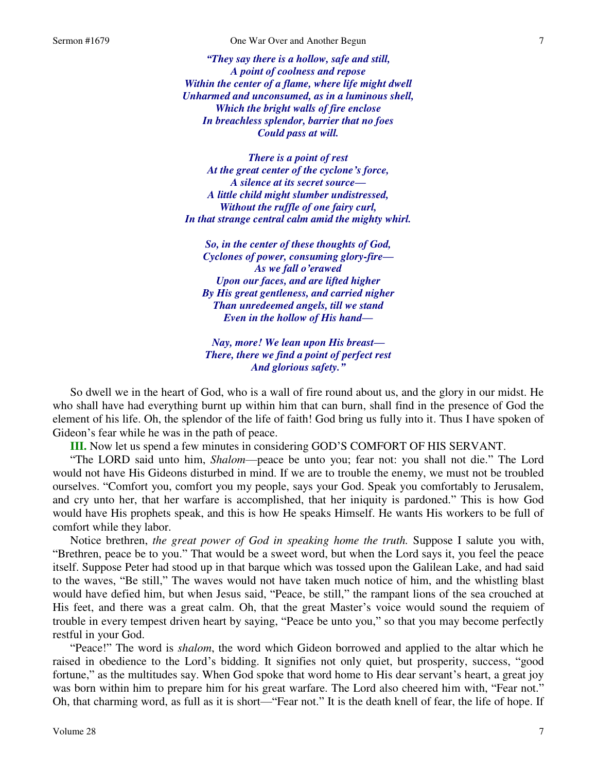*"They say there is a hollow, safe and still, A point of coolness and repose Within the center of a flame, where life might dwell Unharmed and unconsumed, as in a luminous shell, Which the bright walls of fire enclose In breachless splendor, barrier that no foes Could pass at will.* 

*There is a point of rest At the great center of the cyclone's force, A silence at its secret source— A little child might slumber undistressed, Without the ruffle of one fairy curl, In that strange central calm amid the mighty whirl.* 

*So, in the center of these thoughts of God, Cyclones of power, consuming glory-fire— As we fall o'erawed Upon our faces, and are lifted higher By His great gentleness, and carried nigher Than unredeemed angels, till we stand Even in the hollow of His hand—*

*Nay, more! We lean upon His breast— There, there we find a point of perfect rest And glorious safety."*

 So dwell we in the heart of God, who is a wall of fire round about us, and the glory in our midst. He who shall have had everything burnt up within him that can burn, shall find in the presence of God the element of his life. Oh, the splendor of the life of faith! God bring us fully into it. Thus I have spoken of Gideon's fear while he was in the path of peace.

**III.** Now let us spend a few minutes in considering GOD'S COMFORT OF HIS SERVANT.

"The LORD said unto him, *Shalom*—peace be unto you; fear not: you shall not die." The Lord would not have His Gideons disturbed in mind. If we are to trouble the enemy, we must not be troubled ourselves. "Comfort you, comfort you my people, says your God. Speak you comfortably to Jerusalem, and cry unto her, that her warfare is accomplished, that her iniquity is pardoned." This is how God would have His prophets speak, and this is how He speaks Himself. He wants His workers to be full of comfort while they labor.

Notice brethren, *the great power of God in speaking home the truth.* Suppose I salute you with, "Brethren, peace be to you." That would be a sweet word, but when the Lord says it, you feel the peace itself. Suppose Peter had stood up in that barque which was tossed upon the Galilean Lake, and had said to the waves, "Be still," The waves would not have taken much notice of him, and the whistling blast would have defied him, but when Jesus said, "Peace, be still," the rampant lions of the sea crouched at His feet, and there was a great calm. Oh, that the great Master's voice would sound the requiem of trouble in every tempest driven heart by saying, "Peace be unto you," so that you may become perfectly restful in your God.

"Peace!" The word is *shalom*, the word which Gideon borrowed and applied to the altar which he raised in obedience to the Lord's bidding. It signifies not only quiet, but prosperity, success, "good fortune," as the multitudes say. When God spoke that word home to His dear servant's heart, a great joy was born within him to prepare him for his great warfare. The Lord also cheered him with, "Fear not." Oh, that charming word, as full as it is short—"Fear not." It is the death knell of fear, the life of hope. If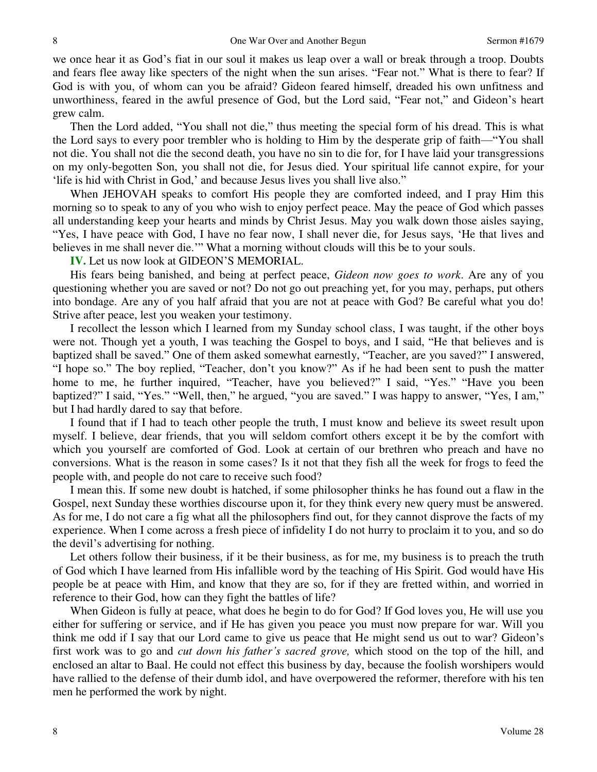we once hear it as God's fiat in our soul it makes us leap over a wall or break through a troop. Doubts and fears flee away like specters of the night when the sun arises. "Fear not." What is there to fear? If God is with you, of whom can you be afraid? Gideon feared himself, dreaded his own unfitness and unworthiness, feared in the awful presence of God, but the Lord said, "Fear not," and Gideon's heart grew calm.

 Then the Lord added, "You shall not die," thus meeting the special form of his dread. This is what the Lord says to every poor trembler who is holding to Him by the desperate grip of faith—"You shall not die. You shall not die the second death, you have no sin to die for, for I have laid your transgressions on my only-begotten Son, you shall not die, for Jesus died. Your spiritual life cannot expire, for your 'life is hid with Christ in God,' and because Jesus lives you shall live also."

 When JEHOVAH speaks to comfort His people they are comforted indeed, and I pray Him this morning so to speak to any of you who wish to enjoy perfect peace. May the peace of God which passes all understanding keep your hearts and minds by Christ Jesus. May you walk down those aisles saying, "Yes, I have peace with God, I have no fear now, I shall never die, for Jesus says, 'He that lives and believes in me shall never die.'" What a morning without clouds will this be to your souls.

**IV.** Let us now look at GIDEON'S MEMORIAL.

 His fears being banished, and being at perfect peace, *Gideon now goes to work*. Are any of you questioning whether you are saved or not? Do not go out preaching yet, for you may, perhaps, put others into bondage. Are any of you half afraid that you are not at peace with God? Be careful what you do! Strive after peace, lest you weaken your testimony.

 I recollect the lesson which I learned from my Sunday school class, I was taught, if the other boys were not. Though yet a youth, I was teaching the Gospel to boys, and I said, "He that believes and is baptized shall be saved." One of them asked somewhat earnestly, "Teacher, are you saved?" I answered, "I hope so." The boy replied, "Teacher, don't you know?" As if he had been sent to push the matter home to me, he further inquired, "Teacher, have you believed?" I said, "Yes." "Have you been baptized?" I said, "Yes." "Well, then," he argued, "you are saved." I was happy to answer, "Yes, I am," but I had hardly dared to say that before.

 I found that if I had to teach other people the truth, I must know and believe its sweet result upon myself. I believe, dear friends, that you will seldom comfort others except it be by the comfort with which you yourself are comforted of God. Look at certain of our brethren who preach and have no conversions. What is the reason in some cases? Is it not that they fish all the week for frogs to feed the people with, and people do not care to receive such food?

 I mean this. If some new doubt is hatched, if some philosopher thinks he has found out a flaw in the Gospel, next Sunday these worthies discourse upon it, for they think every new query must be answered. As for me, I do not care a fig what all the philosophers find out, for they cannot disprove the facts of my experience. When I come across a fresh piece of infidelity I do not hurry to proclaim it to you, and so do the devil's advertising for nothing.

 Let others follow their business, if it be their business, as for me, my business is to preach the truth of God which I have learned from His infallible word by the teaching of His Spirit. God would have His people be at peace with Him, and know that they are so, for if they are fretted within, and worried in reference to their God, how can they fight the battles of life?

 When Gideon is fully at peace, what does he begin to do for God? If God loves you, He will use you either for suffering or service, and if He has given you peace you must now prepare for war. Will you think me odd if I say that our Lord came to give us peace that He might send us out to war? Gideon's first work was to go and *cut down his father's sacred grove,* which stood on the top of the hill, and enclosed an altar to Baal. He could not effect this business by day, because the foolish worshipers would have rallied to the defense of their dumb idol, and have overpowered the reformer, therefore with his ten men he performed the work by night.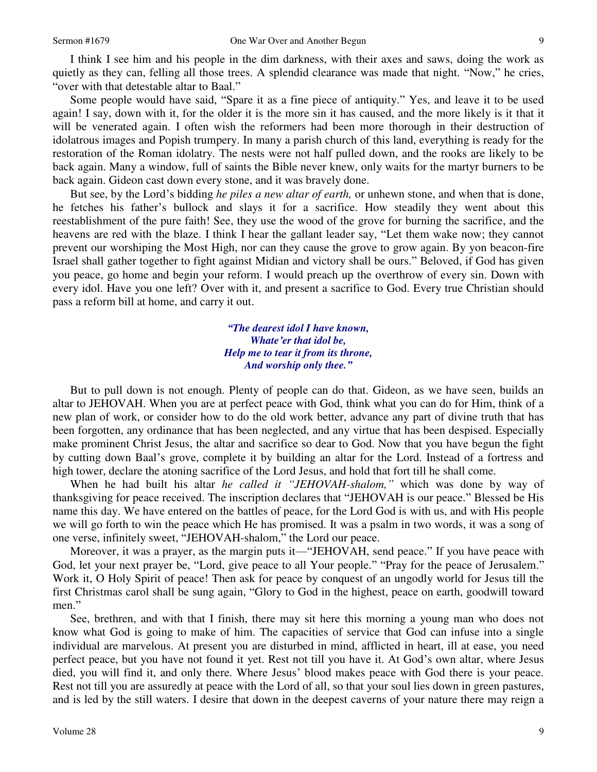I think I see him and his people in the dim darkness, with their axes and saws, doing the work as quietly as they can, felling all those trees. A splendid clearance was made that night. "Now," he cries, "over with that detestable altar to Baal."

 Some people would have said, "Spare it as a fine piece of antiquity." Yes, and leave it to be used again! I say, down with it, for the older it is the more sin it has caused, and the more likely is it that it will be venerated again. I often wish the reformers had been more thorough in their destruction of idolatrous images and Popish trumpery. In many a parish church of this land, everything is ready for the restoration of the Roman idolatry. The nests were not half pulled down, and the rooks are likely to be back again. Many a window, full of saints the Bible never knew, only waits for the martyr burners to be back again. Gideon cast down every stone, and it was bravely done.

 But see, by the Lord's bidding *he piles a new altar of earth,* or unhewn stone, and when that is done, he fetches his father's bullock and slays it for a sacrifice. How steadily they went about this reestablishment of the pure faith! See, they use the wood of the grove for burning the sacrifice, and the heavens are red with the blaze. I think I hear the gallant leader say, "Let them wake now; they cannot prevent our worshiping the Most High, nor can they cause the grove to grow again. By yon beacon-fire Israel shall gather together to fight against Midian and victory shall be ours." Beloved, if God has given you peace, go home and begin your reform. I would preach up the overthrow of every sin. Down with every idol. Have you one left? Over with it, and present a sacrifice to God. Every true Christian should pass a reform bill at home, and carry it out.

> *"The dearest idol I have known, Whate'er that idol be, Help me to tear it from its throne, And worship only thee."*

 But to pull down is not enough. Plenty of people can do that. Gideon, as we have seen, builds an altar to JEHOVAH. When you are at perfect peace with God, think what you can do for Him, think of a new plan of work, or consider how to do the old work better, advance any part of divine truth that has been forgotten, any ordinance that has been neglected, and any virtue that has been despised. Especially make prominent Christ Jesus, the altar and sacrifice so dear to God. Now that you have begun the fight by cutting down Baal's grove, complete it by building an altar for the Lord. Instead of a fortress and high tower, declare the atoning sacrifice of the Lord Jesus, and hold that fort till he shall come.

 When he had built his altar *he called it "JEHOVAH-shalom,"* which was done by way of thanksgiving for peace received. The inscription declares that "JEHOVAH is our peace." Blessed be His name this day. We have entered on the battles of peace, for the Lord God is with us, and with His people we will go forth to win the peace which He has promised. It was a psalm in two words, it was a song of one verse, infinitely sweet, "JEHOVAH-shalom," the Lord our peace.

 Moreover, it was a prayer, as the margin puts it—"JEHOVAH, send peace." If you have peace with God, let your next prayer be, "Lord, give peace to all Your people." "Pray for the peace of Jerusalem." Work it, O Holy Spirit of peace! Then ask for peace by conquest of an ungodly world for Jesus till the first Christmas carol shall be sung again, "Glory to God in the highest, peace on earth, goodwill toward men."

 See, brethren, and with that I finish, there may sit here this morning a young man who does not know what God is going to make of him. The capacities of service that God can infuse into a single individual are marvelous. At present you are disturbed in mind, afflicted in heart, ill at ease, you need perfect peace, but you have not found it yet. Rest not till you have it. At God's own altar, where Jesus died, you will find it, and only there. Where Jesus' blood makes peace with God there is your peace. Rest not till you are assuredly at peace with the Lord of all, so that your soul lies down in green pastures, and is led by the still waters. I desire that down in the deepest caverns of your nature there may reign a